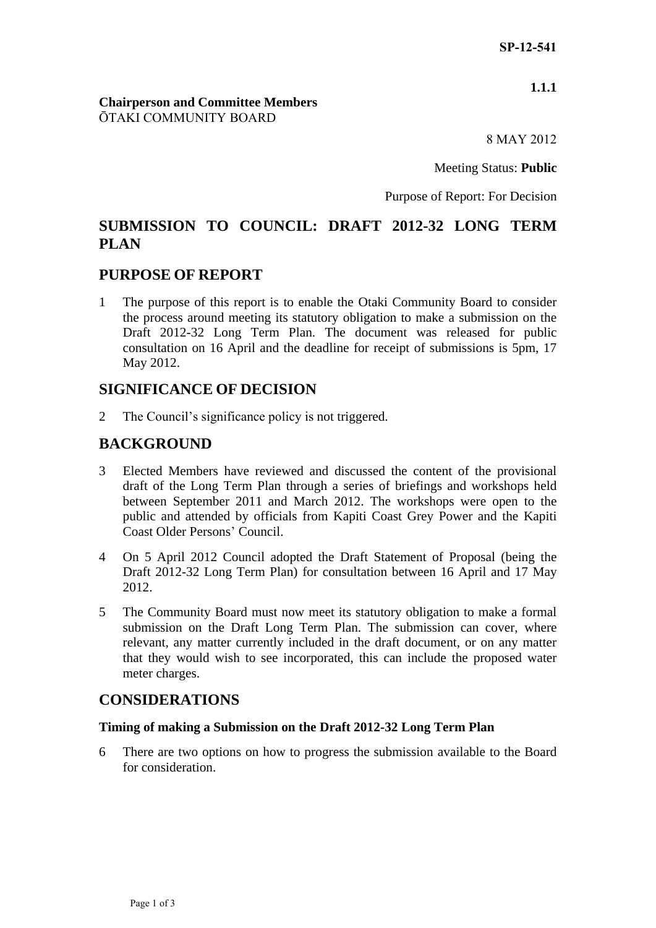# **1.1.1**

#### **Chairperson and Committee Members** ŌTAKI COMMUNITY BOARD

8 MAY 2012

Meeting Status: **Public**

Purpose of Report: For Decision

# **SUBMISSION TO COUNCIL: DRAFT 2012-32 LONG TERM PLAN**

# **PURPOSE OF REPORT**

1 The purpose of this report is to enable the Otaki Community Board to consider the process around meeting its statutory obligation to make a submission on the Draft 2012-32 Long Term Plan. The document was released for public consultation on 16 April and the deadline for receipt of submissions is 5pm, 17 May 2012.

# **SIGNIFICANCE OF DECISION**

2 The Council's significance policy is not triggered.

# **BACKGROUND**

- 3 Elected Members have reviewed and discussed the content of the provisional draft of the Long Term Plan through a series of briefings and workshops held between September 2011 and March 2012. The workshops were open to the public and attended by officials from Kapiti Coast Grey Power and the Kapiti Coast Older Persons' Council.
- 4 On 5 April 2012 Council adopted the Draft Statement of Proposal (being the Draft 2012-32 Long Term Plan) for consultation between 16 April and 17 May 2012.
- 5 The Community Board must now meet its statutory obligation to make a formal submission on the Draft Long Term Plan. The submission can cover, where relevant, any matter currently included in the draft document, or on any matter that they would wish to see incorporated, this can include the proposed water meter charges.

# **CONSIDERATIONS**

#### **Timing of making a Submission on the Draft 2012-32 Long Term Plan**

6 There are two options on how to progress the submission available to the Board for consideration.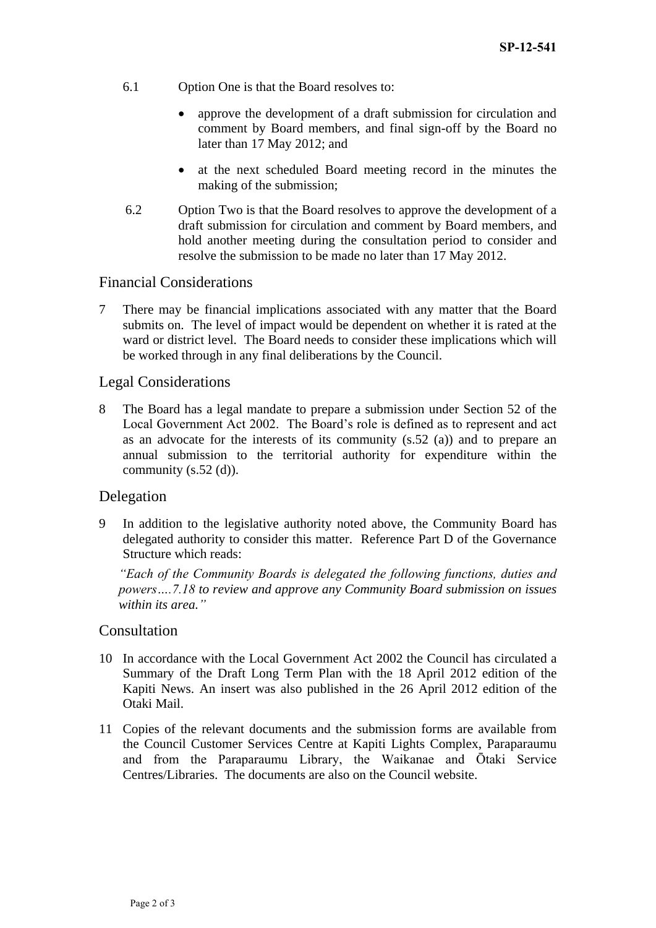- 6.1 Option One is that the Board resolves to:
	- approve the development of a draft submission for circulation and comment by Board members, and final sign-off by the Board no later than 17 May 2012; and
	- at the next scheduled Board meeting record in the minutes the making of the submission;
- 6.2 Option Two is that the Board resolves to approve the development of a draft submission for circulation and comment by Board members, and hold another meeting during the consultation period to consider and resolve the submission to be made no later than 17 May 2012.

#### Financial Considerations

7 There may be financial implications associated with any matter that the Board submits on. The level of impact would be dependent on whether it is rated at the ward or district level. The Board needs to consider these implications which will be worked through in any final deliberations by the Council.

#### Legal Considerations

8 The Board has a legal mandate to prepare a submission under Section 52 of the Local Government Act 2002. The Board's role is defined as to represent and act as an advocate for the interests of its community (s.52 (a)) and to prepare an annual submission to the territorial authority for expenditure within the community (s.52 (d)).

#### Delegation

9 In addition to the legislative authority noted above, the Community Board has delegated authority to consider this matter. Reference Part D of the Governance Structure which reads:

*"Each of the Community Boards is delegated the following functions, duties and powers….7.18 to review and approve any Community Board submission on issues within its area."*

#### **Consultation**

- 10 In accordance with the Local Government Act 2002 the Council has circulated a Summary of the Draft Long Term Plan with the 18 April 2012 edition of the Kapiti News. An insert was also published in the 26 April 2012 edition of the Otaki Mail.
- 11 Copies of the relevant documents and the submission forms are available from the Council Customer Services Centre at Kapiti Lights Complex, Paraparaumu and from the Paraparaumu Library, the Waikanae and Ōtaki Service Centres/Libraries. The documents are also on the Council website.